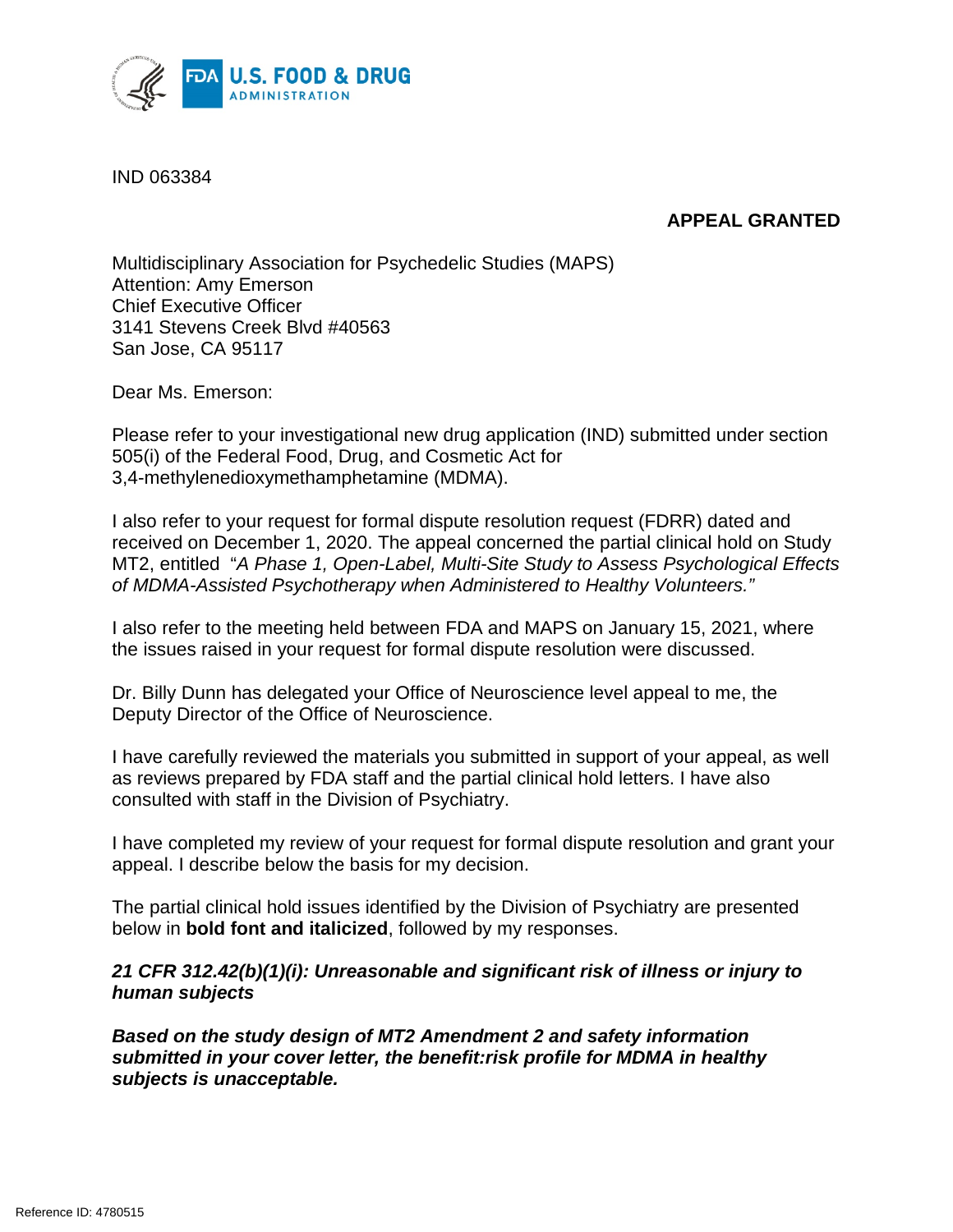

IND 063384

# **APPEAL GRANTED**

Multidisciplinary Association for Psychedelic Studies (MAPS) Attention: Amy Emerson Chief Executive Officer 3141 Stevens Creek Blvd #40563 San Jose, CA 95117

Dear Ms. Emerson:

Please refer to your investigational new drug application (IND) submitted under section 505(i) of the Federal Food, Drug, and Cosmetic Act for 3,4-methylenedioxymethamphetamine (MDMA).

I also refer to your request for formal dispute resolution request (FDRR) dated and received on December 1, 2020. The appeal concerned the partial clinical hold on Study MT2, entitled "*A Phase 1, Open-Label, Multi-Site Study to Assess Psychological Effects of MDMA-Assisted Psychotherapy when Administered to Healthy Volunteers."*

I also refer to the meeting held between FDA and MAPS on January 15, 2021, where the issues raised in your request for formal dispute resolution were discussed.

Dr. Billy Dunn has delegated your Office of Neuroscience level appeal to me, the Deputy Director of the Office of Neuroscience.

I have carefully reviewed the materials you submitted in support of your appeal, as well as reviews prepared by FDA staff and the partial clinical hold letters. I have also consulted with staff in the Division of Psychiatry.

I have completed my review of your request for formal dispute resolution and grant your appeal. I describe below the basis for my decision.

The partial clinical hold issues identified by the Division of Psychiatry are presented below in **bold font and italicized**, followed by my responses.

## *21 CFR 312.42(b)(1)(i): Unreasonable and significant risk of illness or injury to human subjects*

*Based on the study design of MT2 Amendment 2 and safety information submitted in your cover letter, the benefit:risk profile for MDMA in healthy subjects is unacceptable.*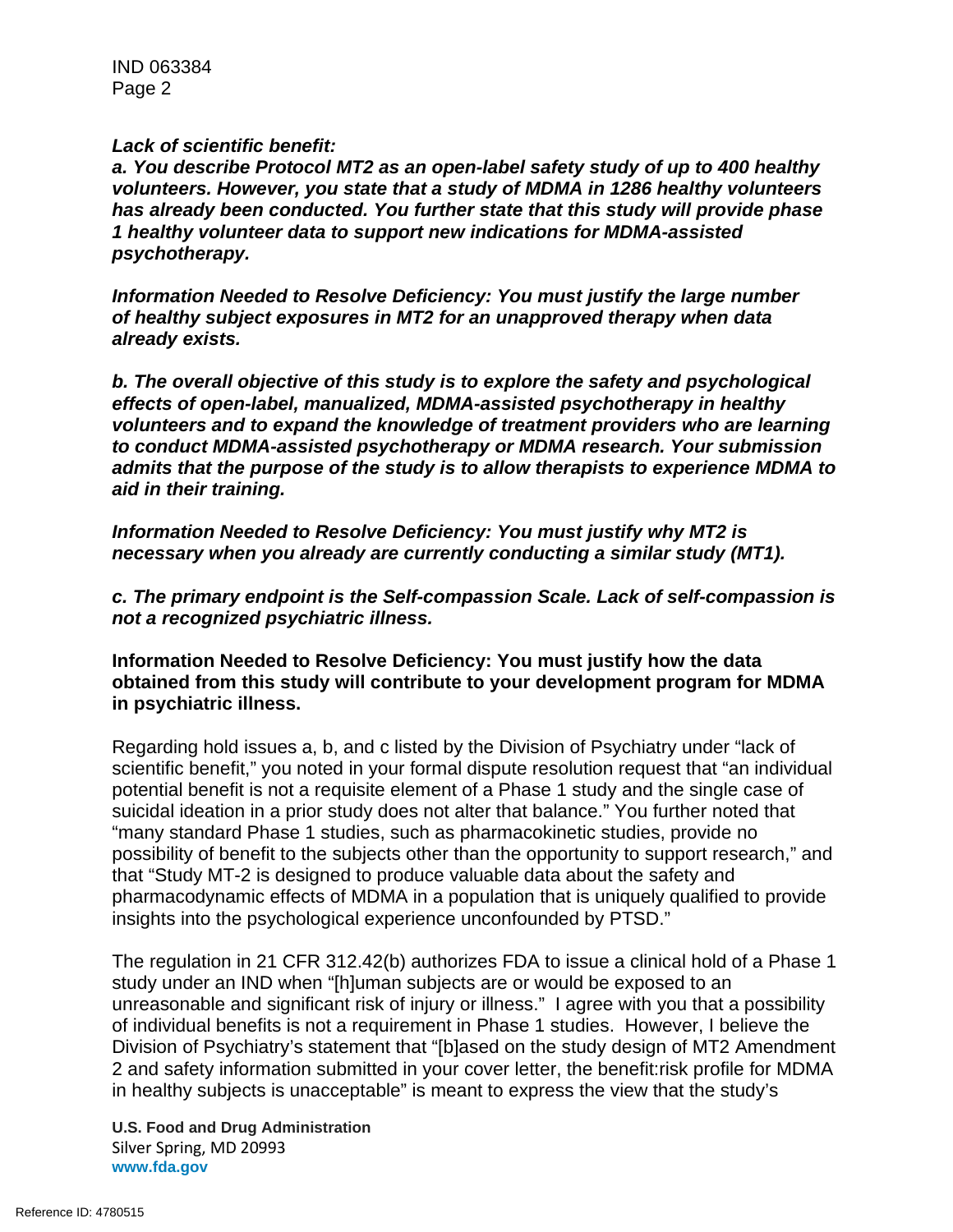IND 063384 Page 2

#### *Lack of scientific benefit:*

*a. You describe Protocol MT2 as an open-label safety study of up to 400 healthy volunteers. However, you state that a study of MDMA in 1286 healthy volunteers has already been conducted. You further state that this study will provide phase 1 healthy volunteer data to support new indications for MDMA-assisted psychotherapy.*

*Information Needed to Resolve Deficiency: You must justify the large number of healthy subject exposures in MT2 for an unapproved therapy when data already exists.* 

*b. The overall objective of this study is to explore the safety and psychological effects of open-label, manualized, MDMA-assisted psychotherapy in healthy volunteers and to expand the knowledge of treatment providers who are learning to conduct MDMA-assisted psychotherapy or MDMA research. Your submission admits that the purpose of the study is to allow therapists to experience MDMA to aid in their training.*

*Information Needed to Resolve Deficiency: You must justify why MT2 is necessary when you already are currently conducting a similar study (MT1).*

*c. The primary endpoint is the Self-compassion Scale. Lack of self-compassion is not a recognized psychiatric illness.*

**Information Needed to Resolve Deficiency: You must justify how the data obtained from this study will contribute to your development program for MDMA in psychiatric illness.**

Regarding hold issues a, b, and c listed by the Division of Psychiatry under "lack of scientific benefit," you noted in your formal dispute resolution request that "an individual potential benefit is not a requisite element of a Phase 1 study and the single case of suicidal ideation in a prior study does not alter that balance." You further noted that "many standard Phase 1 studies, such as pharmacokinetic studies, provide no possibility of benefit to the subjects other than the opportunity to support research," and that "Study MT-2 is designed to produce valuable data about the safety and pharmacodynamic effects of MDMA in a population that is uniquely qualified to provide insights into the psychological experience unconfounded by PTSD."

The regulation in 21 CFR 312.42(b) authorizes FDA to issue a clinical hold of a Phase 1 study under an IND when "[h]uman subjects are or would be exposed to an unreasonable and significant risk of injury or illness." I agree with you that a possibility of individual benefits is not a requirement in Phase 1 studies. However, I believe the Division of Psychiatry's statement that "[b]ased on the study design of MT2 Amendment 2 and safety information submitted in your cover letter, the benefit:risk profile for MDMA in healthy subjects is unacceptable" is meant to express the view that the study's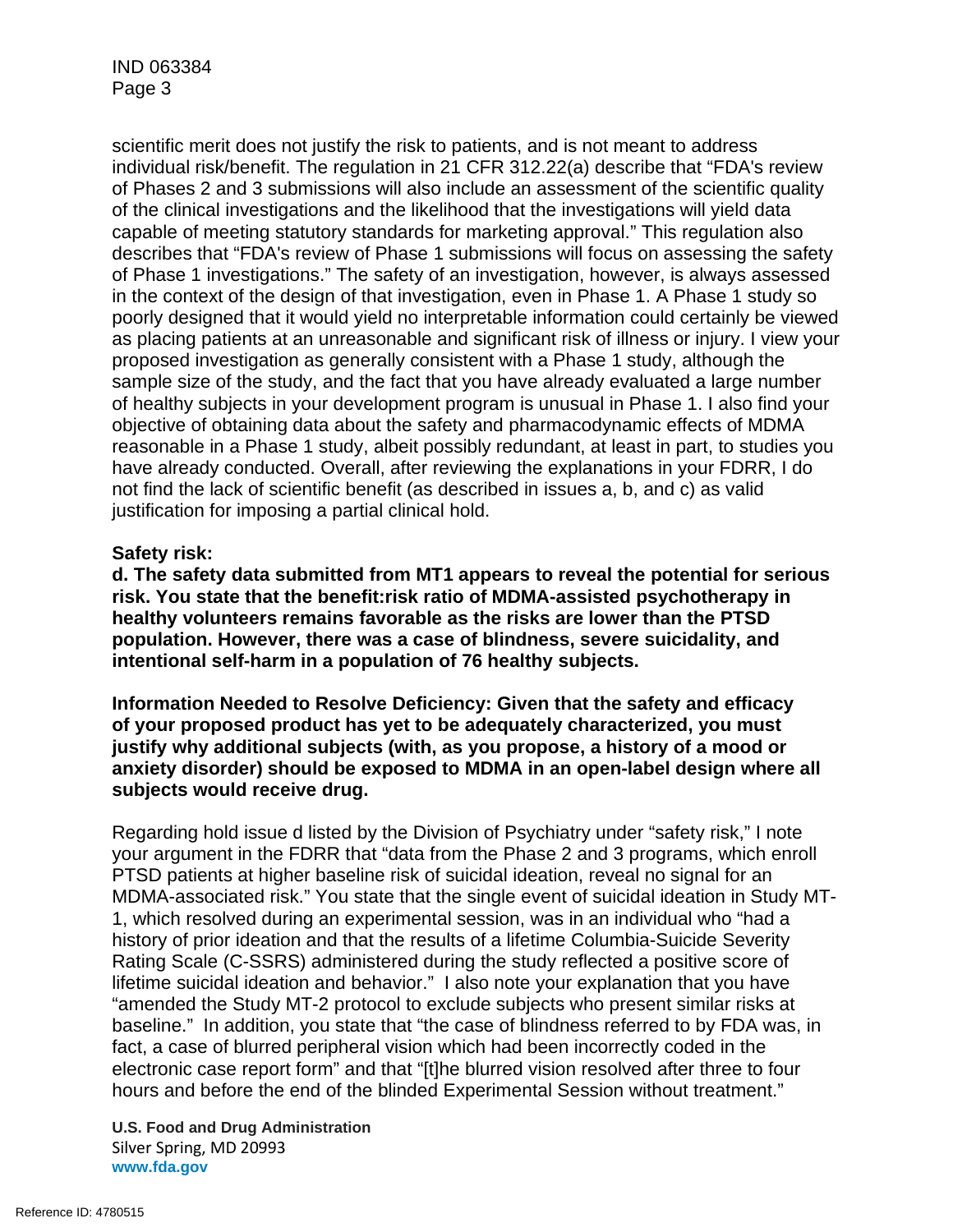scientific merit does not justify the risk to patients, and is not meant to address individual risk/benefit. The regulation in 21 CFR 312.22(a) describe that "FDA's review of Phases 2 and 3 submissions will also include an assessment of the scientific quality of the clinical investigations and the likelihood that the investigations will yield data capable of meeting statutory standards for marketing approval." This regulation also describes that "FDA's review of Phase 1 submissions will focus on assessing the safety of Phase 1 investigations." The safety of an investigation, however, is always assessed in the context of the design of that investigation, even in Phase 1. A Phase 1 study so poorly designed that it would yield no interpretable information could certainly be viewed as placing patients at an unreasonable and significant risk of illness or injury. I view your proposed investigation as generally consistent with a Phase 1 study, although the sample size of the study, and the fact that you have already evaluated a large number of healthy subjects in your development program is unusual in Phase 1. I also find your objective of obtaining data about the safety and pharmacodynamic effects of MDMA reasonable in a Phase 1 study, albeit possibly redundant, at least in part, to studies you have already conducted. Overall, after reviewing the explanations in your FDRR, I do not find the lack of scientific benefit (as described in issues a, b, and c) as valid justification for imposing a partial clinical hold.

### **Safety risk:**

**d. The safety data submitted from MT1 appears to reveal the potential for serious risk. You state that the benefit:risk ratio of MDMA-assisted psychotherapy in healthy volunteers remains favorable as the risks are lower than the PTSD population. However, there was a case of blindness, severe suicidality, and intentional self-harm in a population of 76 healthy subjects.**

**Information Needed to Resolve Deficiency: Given that the safety and efficacy of your proposed product has yet to be adequately characterized, you must justify why additional subjects (with, as you propose, a history of a mood or anxiety disorder) should be exposed to MDMA in an open-label design where all subjects would receive drug.**

Regarding hold issue d listed by the Division of Psychiatry under "safety risk," I note your argument in the FDRR that "data from the Phase 2 and 3 programs, which enroll PTSD patients at higher baseline risk of suicidal ideation, reveal no signal for an MDMA-associated risk." You state that the single event of suicidal ideation in Study MT-1, which resolved during an experimental session, was in an individual who "had a history of prior ideation and that the results of a lifetime Columbia-Suicide Severity Rating Scale (C-SSRS) administered during the study reflected a positive score of lifetime suicidal ideation and behavior." I also note your explanation that you have "amended the Study MT-2 protocol to exclude subjects who present similar risks at baseline." In addition, you state that "the case of blindness referred to by FDA was, in fact, a case of blurred peripheral vision which had been incorrectly coded in the electronic case report form" and that "[t]he blurred vision resolved after three to four hours and before the end of the blinded Experimental Session without treatment."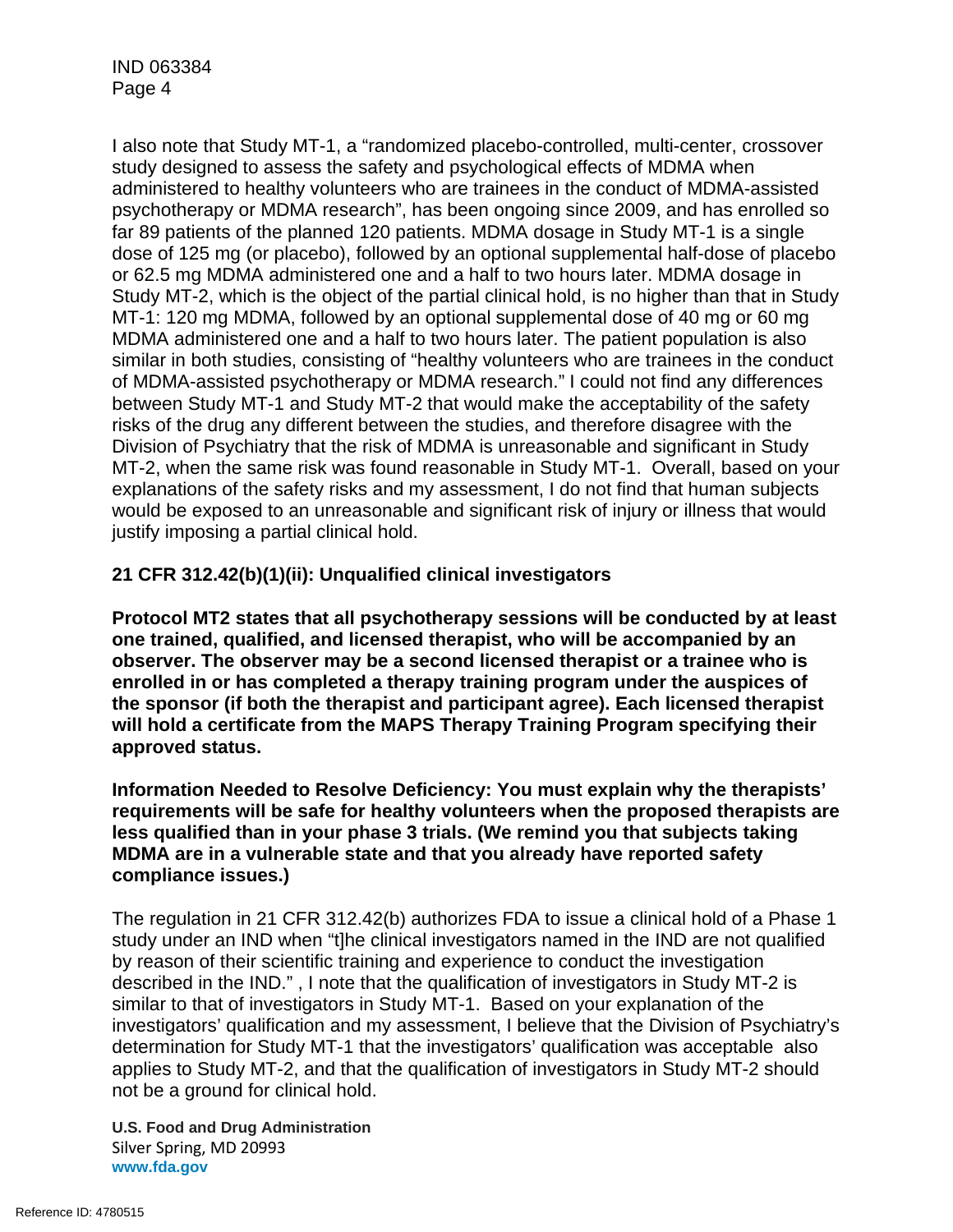I also note that Study MT-1, a "randomized placebo-controlled, multi-center, crossover study designed to assess the safety and psychological effects of MDMA when administered to healthy volunteers who are trainees in the conduct of MDMA-assisted psychotherapy or MDMA research", has been ongoing since 2009, and has enrolled so far 89 patients of the planned 120 patients. MDMA dosage in Study MT-1 is a single dose of 125 mg (or placebo), followed by an optional supplemental half-dose of placebo or 62.5 mg MDMA administered one and a half to two hours later. MDMA dosage in Study MT-2, which is the object of the partial clinical hold, is no higher than that in Study MT-1: 120 mg MDMA, followed by an optional supplemental dose of 40 mg or 60 mg MDMA administered one and a half to two hours later. The patient population is also similar in both studies, consisting of "healthy volunteers who are trainees in the conduct of MDMA-assisted psychotherapy or MDMA research." I could not find any differences between Study MT-1 and Study MT-2 that would make the acceptability of the safety risks of the drug any different between the studies, and therefore disagree with the Division of Psychiatry that the risk of MDMA is unreasonable and significant in Study MT-2, when the same risk was found reasonable in Study MT-1. Overall, based on your explanations of the safety risks and my assessment, I do not find that human subjects would be exposed to an unreasonable and significant risk of injury or illness that would justify imposing a partial clinical hold.

## **21 CFR 312.42(b)(1)(ii): Unqualified clinical investigators**

**Protocol MT2 states that all psychotherapy sessions will be conducted by at least one trained, qualified, and licensed therapist, who will be accompanied by an observer. The observer may be a second licensed therapist or a trainee who is enrolled in or has completed a therapy training program under the auspices of the sponsor (if both the therapist and participant agree). Each licensed therapist will hold a certificate from the MAPS Therapy Training Program specifying their approved status.**

**Information Needed to Resolve Deficiency: You must explain why the therapists' requirements will be safe for healthy volunteers when the proposed therapists are less qualified than in your phase 3 trials. (We remind you that subjects taking MDMA are in a vulnerable state and that you already have reported safety compliance issues.)**

The regulation in 21 CFR 312.42(b) authorizes FDA to issue a clinical hold of a Phase 1 study under an IND when "t]he clinical investigators named in the IND are not qualified by reason of their scientific training and experience to conduct the investigation described in the IND." , I note that the qualification of investigators in Study MT-2 is similar to that of investigators in Study MT-1. Based on your explanation of the investigators' qualification and my assessment, I believe that the Division of Psychiatry's determination for Study MT-1 that the investigators' qualification was acceptable also applies to Study MT-2, and that the qualification of investigators in Study MT-2 should not be a ground for clinical hold.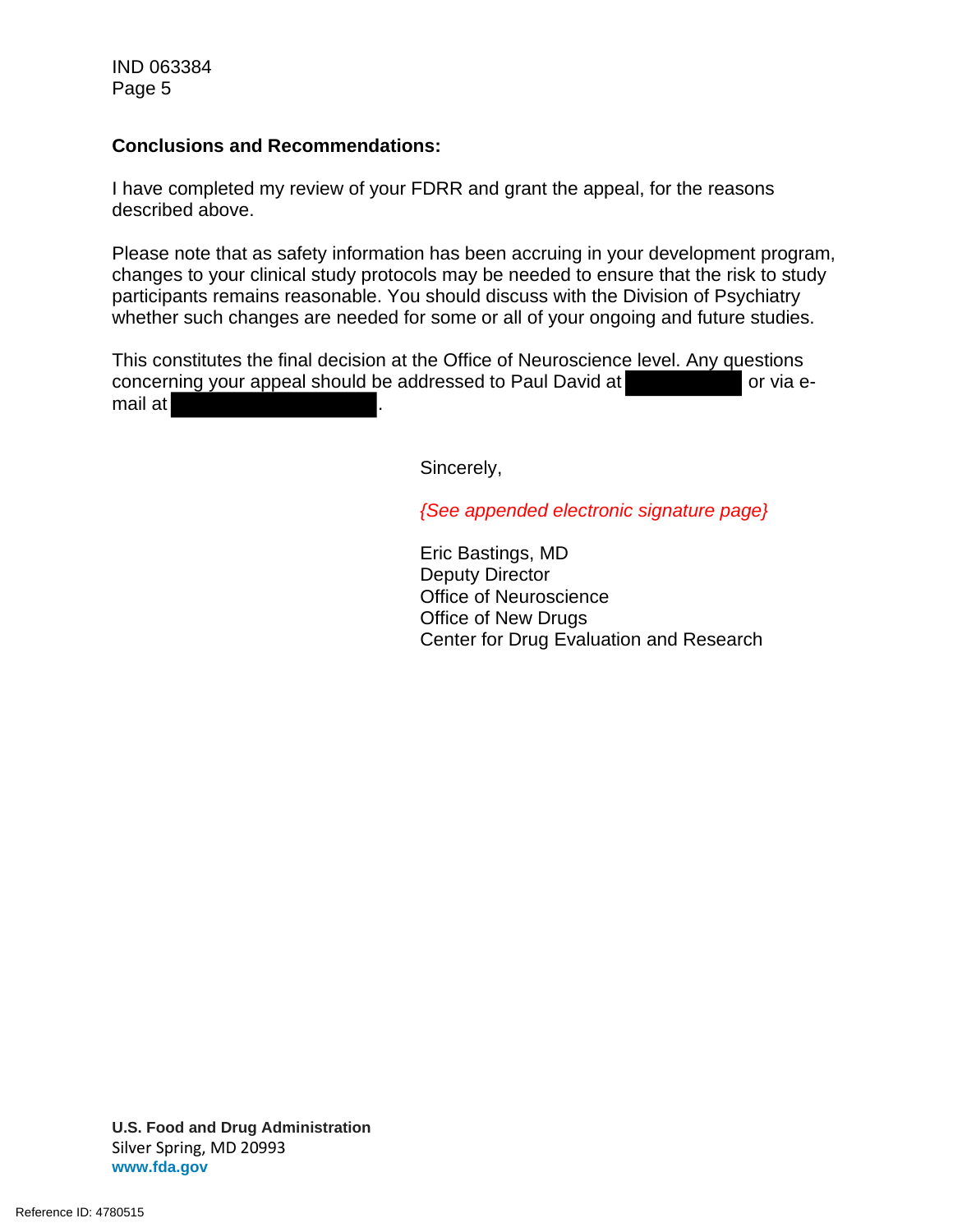IND 063384 Page 5

### **Conclusions and Recommendations:**

I have completed my review of your FDRR and grant the appeal, for the reasons described above.

Please note that as safety information has been accruing in your development program, changes to your clinical study protocols may be needed to ensure that the risk to study participants remains reasonable. You should discuss with the Division of Psychiatry whether such changes are needed for some or all of your ongoing and future studies.

This constitutes the final decision at the Office of Neuroscience level. Any questions concerning your appeal should be addressed to Paul David at or via email at

Sincerely,

*{See appended electronic signature page}*

Eric Bastings, MD Deputy Director Office of Neuroscience Office of New Drugs Center for Drug Evaluation and Research